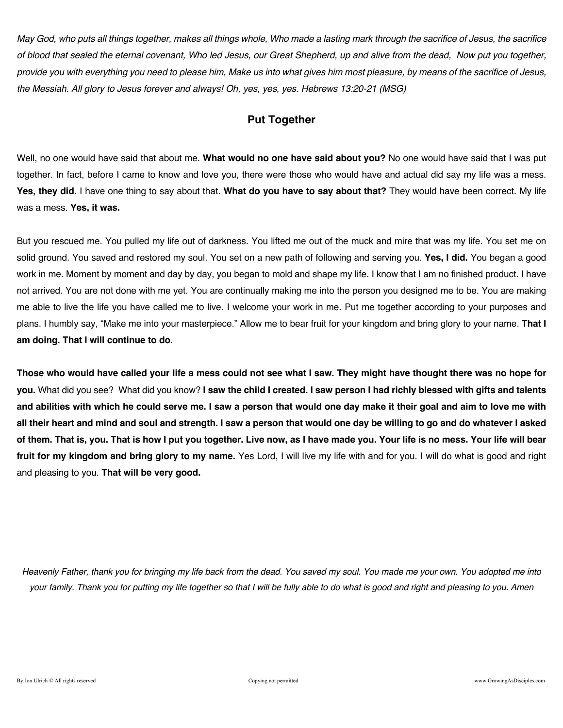*May God, who puts all things together, makes all things whole, Who made a lasting mark through the sacrifice of Jesus, the sacrifice of blood that sealed the eternal covenant, Who led Jesus, our Great Shepherd, up and alive from the dead, Now put you together, provide you with everything you need to please him, Make us into what gives him most pleasure, by means of the sacrifice of Jesus, the Messiah. All glory to Jesus forever and always! Oh, yes, yes, yes. Hebrews 13:20-21 (MSG)* 

## **Put Together**

Well, no one would have said that about me. **What would no one have said about you?** No one would have said that I was put together. In fact, before I came to know and love you, there were those who would have and actual did say my life was a mess. **Yes, they did.** I have one thing to say about that. **What do you have to say about that?** They would have been correct. My life was a mess. **Yes, it was.**

But you rescued me. You pulled my life out of darkness. You lifted me out of the muck and mire that was my life. You set me on solid ground. You saved and restored my soul. You set on a new path of following and serving you. **Yes, I did.** You began a good work in me. Moment by moment and day by day, you began to mold and shape my life. I know that I am no finished product. I have not arrived. You are not done with me yet. You are continually making me into the person you designed me to be. You are making me able to live the life you have called me to live. I welcome your work in me. Put me together according to your purposes and plans. I humbly say, "Make me into your masterpiece." Allow me to bear fruit for your kingdom and bring glory to your name. **That I am doing. That I will continue to do.**

**Those who would have called your life a mess could not see what I saw. They might have thought there was no hope for you.** What did you see? What did you know? **I saw the child I created. I saw person I had richly blessed with gifts and talents and abilities with which he could serve me. I saw a person that would one day make it their goal and aim to love me with all their heart and mind and soul and strength. I saw a person that would one day be willing to go and do whatever I asked of them. That is, you. That is how I put you together. Live now, as I have made you. Your life is no mess. Your life will bear fruit for my kingdom and bring glory to my name.** Yes Lord, I will live my life with and for you. I will do what is good and right and pleasing to you. **That will be very good.**

*Heavenly Father, thank you for bringing my life back from the dead. You saved my soul. You made me your own. You adopted me into your family. Thank you for putting my life together so that I will be fully able to do what is good and right and pleasing to you. Amen*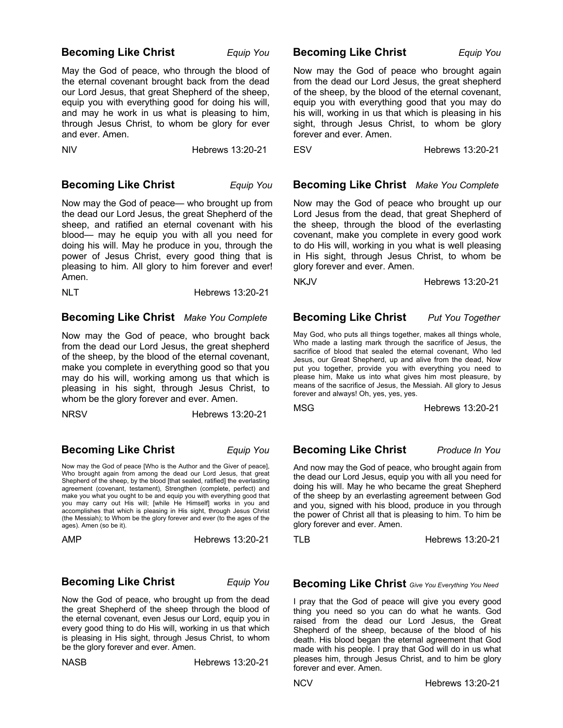### **Becoming Like Christ** *Equip You*

May the God of peace, who through the blood of the eternal covenant brought back from the dead our Lord Jesus, that great Shepherd of the sheep, equip you with everything good for doing his will, and may he work in us what is pleasing to him, through Jesus Christ, to whom be glory for ever and ever. Amen.

NIV Hebrews 13:20-21

### **Becoming Like Christ** *Equip You*

Now may the God of peace— who brought up from the dead our Lord Jesus, the great Shepherd of the sheep, and ratified an eternal covenant with his blood— may he equip you with all you need for doing his will. May he produce in you, through the power of Jesus Christ, every good thing that is pleasing to him. All glory to him forever and ever! Amen.

NLT Hebrews 13:20-21

### **Becoming Like Christ** *Make You Complete*

Now may the God of peace, who brought back from the dead our Lord Jesus, the great shepherd of the sheep, by the blood of the eternal covenant, make you complete in everything good so that you may do his will, working among us that which is pleasing in his sight, through Jesus Christ, to whom be the glory forever and ever. Amen.

NRSV Hebrews 13:20-21

## **Becoming Like Christ** *Equip You*

Now may the God of peace [Who is the Author and the Giver of peace], Who brought again from among the dead our Lord Jesus, that great Shepherd of the sheep, by the blood [that sealed, ratified] the everlasting agreement (covenant, testament), Strengthen (complete, perfect) and make you what you ought to be and equip you with everything good that you may carry out His will; [while He Himself] works in you and accomplishes that which is pleasing in His sight, through Jesus Christ (the Messiah); to Whom be the glory forever and ever (to the ages of the ages). Amen (so be it).

AMP Hebrews 13:20-21

## **Becoming Like Christ** *Equip You*

Now the God of peace, who brought up from the dead the great Shepherd of the sheep through the blood of the eternal covenant, even Jesus our Lord, equip you in every good thing to do His will, working in us that which is pleasing in His sight, through Jesus Christ, to whom be the glory forever and ever. Amen.

NASB Hebrews 13:20-21

## **Becoming Like Christ** *Equip You*

Now may the God of peace who brought again from the dead our Lord Jesus, the great shepherd of the sheep, by the blood of the eternal covenant, equip you with everything good that you may do his will, working in us that which is pleasing in his sight, through Jesus Christ, to whom be glory forever and ever. Amen.

ESV Hebrews 13:20-21

 **Becoming Like Christ** *Make You Complete*

Now may the God of peace who brought up our Lord Jesus from the dead, that great Shepherd of the sheep, through the blood of the everlasting covenant, make you complete in every good work to do His will, working in you what is well pleasing in His sight, through Jesus Christ, to whom be glory forever and ever. Amen.

NKJV Hebrews 13:20-21

## **Becoming Like Christ** *Put You Together*

May God, who puts all things together, makes all things whole, Who made a lasting mark through the sacrifice of Jesus, the sacrifice of blood that sealed the eternal covenant, Who led Jesus, our Great Shepherd, up and alive from the dead, Now put you together, provide you with everything you need to please him, Make us into what gives him most pleasure, by means of the sacrifice of Jesus, the Messiah. All glory to Jesus forever and always! Oh, yes, yes, yes.

MSG **Hebrews** 13:20-21

## **Becoming Like Christ** *Produce In You*

And now may the God of peace, who brought again from the dead our Lord Jesus, equip you with all you need for doing his will. May he who became the great Shepherd of the sheep by an everlasting agreement between God and you, signed with his blood, produce in you through the power of Christ all that is pleasing to him. To him be glory forever and ever. Amen.

TLB Hebrews 13:20-21

 **Becoming Like Christ** *Give You Everything You Need*

I pray that the God of peace will give you every good thing you need so you can do what he wants. God raised from the dead our Lord Jesus, the Great Shepherd of the sheep, because of the blood of his death. His blood began the eternal agreement that God made with his people. I pray that God will do in us what pleases him, through Jesus Christ, and to him be glory forever and ever. Amen.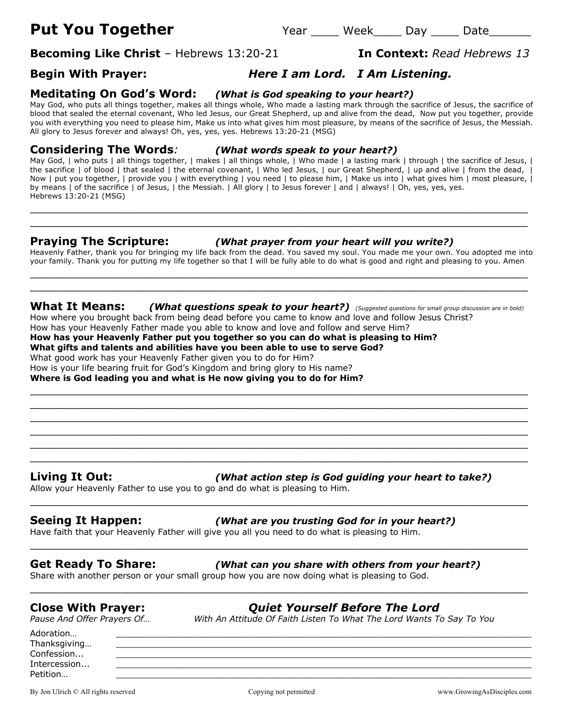# **Becoming Like Christ** – Hebrews 13:20-21 **In Context:** *Read Hebrews 13*

## **Begin With Prayer:** *Here I am Lord. I Am Listening.*

### **Meditating On God's Word:** *(What is God speaking to your heart?)*

May God, who puts all things together, makes all things whole, Who made a lasting mark through the sacrifice of Jesus, the sacrifice of blood that sealed the eternal covenant, Who led Jesus, our Great Shepherd, up and alive from the dead, Now put you together, provide you with everything you need to please him, Make us into what gives him most pleasure, by means of the sacrifice of Jesus, the Messiah. All glory to Jesus forever and always! Oh, yes, yes, yes. Hebrews 13:20-21 (MSG)

**Considering The Words***: (What words speak to your heart?)*

May God, | who puts | all things together, | makes | all things whole, | Who made | a lasting mark | through | the sacrifice of Jesus, | the sacrifice | of blood | that sealed | the eternal covenant, | Who led Jesus, | our Great Shepherd, | up and alive | from the dead, | Now | put you together, | provide you | with everything | you need | to please him, | Make us into | what gives him | most pleasure, | by means | of the sacrifice | of Jesus, | the Messiah. | All glory | to Jesus forever | and | always! | Oh, yes, yes, yes. Hebrews 13:20-21 (MSG)

\_\_\_\_\_\_\_\_\_\_\_\_\_\_\_\_\_\_\_\_\_\_\_\_\_\_\_\_\_\_\_\_\_\_\_\_\_\_\_\_\_\_\_\_\_\_\_\_\_\_\_\_\_\_\_\_\_\_\_\_\_\_\_\_\_\_\_\_\_\_\_ \_\_\_\_\_\_\_\_\_\_\_\_\_\_\_\_\_\_\_\_\_\_\_\_\_\_\_\_\_\_\_\_\_\_\_\_\_\_\_\_\_\_\_\_\_\_\_\_\_\_\_\_\_\_\_\_\_\_\_\_\_\_\_\_\_\_\_\_\_\_\_

## **Praying The Scripture:** *(What prayer from your heart will you write?)*

Heavenly Father, thank you for bringing my life back from the dead. You saved my soul. You made me your own. You adopted me into your family. Thank you for putting my life together so that I will be fully able to do what is good and right and pleasing to you. Amen \_\_\_\_\_\_\_\_\_\_\_\_\_\_\_\_\_\_\_\_\_\_\_\_\_\_\_\_\_\_\_\_\_\_\_\_\_\_\_\_\_\_\_\_\_\_\_\_\_\_\_\_\_\_\_\_\_\_\_\_\_\_\_\_\_\_\_\_\_\_\_

**What It Means:** *(What questions speak to your heart?) (Suggested questions for small group discussion are in bold)* How where you brought back from being dead before you came to know and love and follow Jesus Christ?

 $\_$  , and the contribution of the contribution of  $\mathcal{L}$  , and  $\mathcal{L}$  , and  $\mathcal{L}$  , and  $\mathcal{L}$  , and  $\mathcal{L}$  , and  $\mathcal{L}$  , and  $\mathcal{L}$  , and  $\mathcal{L}$  , and  $\mathcal{L}$  , and  $\mathcal{L}$  , and  $\mathcal{L}$  , and  $\mathcal{L$ \_\_\_\_\_\_\_\_\_\_\_\_\_\_\_\_\_\_\_\_\_\_\_\_\_\_\_\_\_\_\_\_\_\_\_\_\_\_\_\_\_\_\_\_\_\_\_\_\_\_\_\_\_\_\_\_\_\_\_\_\_\_\_\_\_\_\_\_\_\_\_ \_\_\_\_\_\_\_\_\_\_\_\_\_\_\_\_\_\_\_\_\_\_\_\_\_\_\_\_\_\_\_\_\_\_\_\_\_\_\_\_\_\_\_\_\_\_\_\_\_\_\_\_\_\_\_\_\_\_\_\_\_\_\_\_\_\_\_\_\_\_\_ \_\_\_\_\_\_\_\_\_\_\_\_\_\_\_\_\_\_\_\_\_\_\_\_\_\_\_\_\_\_\_\_\_\_\_\_\_\_\_\_\_\_\_\_\_\_\_\_\_\_\_\_\_\_\_\_\_\_\_\_\_\_\_\_\_\_\_\_\_\_\_ \_\_\_\_\_\_\_\_\_\_\_\_\_\_\_\_\_\_\_\_\_\_\_\_\_\_\_\_\_\_\_\_\_\_\_\_\_\_\_\_\_\_\_\_\_\_\_\_\_\_\_\_\_\_\_\_\_\_\_\_\_\_\_\_\_\_\_\_\_\_\_ \_\_\_\_\_\_\_\_\_\_\_\_\_\_\_\_\_\_\_\_\_\_\_\_\_\_\_\_\_\_\_\_\_\_\_\_\_\_\_\_\_\_\_\_\_\_\_\_\_\_\_\_\_\_\_\_\_\_\_\_\_\_\_\_\_\_\_\_\_\_\_

\_\_\_\_\_\_\_\_\_\_\_\_\_\_\_\_\_\_\_\_\_\_\_\_\_\_\_\_\_\_\_\_\_\_\_\_\_\_\_\_\_\_\_\_\_\_\_\_\_\_\_\_\_\_\_\_\_\_\_\_\_\_\_\_\_\_\_\_\_\_\_

\_\_\_\_\_\_\_\_\_\_\_\_\_\_\_\_\_\_\_\_\_\_\_\_\_\_\_\_\_\_\_\_\_\_\_\_\_\_\_\_\_\_\_\_\_\_\_\_\_\_\_\_\_\_\_\_\_\_\_\_\_\_\_\_\_\_\_\_\_\_\_

\_\_\_\_\_\_\_\_\_\_\_\_\_\_\_\_\_\_\_\_\_\_\_\_\_\_\_\_\_\_\_\_\_\_\_\_\_\_\_\_\_\_\_\_\_\_\_\_\_\_\_\_\_\_\_\_\_\_\_\_\_\_\_\_\_\_\_\_\_\_\_

 $\_$  , and the set of the set of the set of the set of the set of the set of the set of the set of the set of the set of the set of the set of the set of the set of the set of the set of the set of the set of the set of th

How has your Heavenly Father made you able to know and love and follow and serve Him? **How has your Heavenly Father put you together so you can do what is pleasing to Him?**

**What gifts and talents and abilities have you been able to use to serve God?**

What good work has your Heavenly Father given you to do for Him?

How is your life bearing fruit for God's Kingdom and bring glory to His name?

**Where is God leading you and what is He now giving you to do for Him?**

**Living It Out:** *(What action step is God guiding your heart to take?)*

Allow your Heavenly Father to use you to go and do what is pleasing to Him.

## **Seeing It Happen:** *(What are you trusting God for in your heart?)*

Have faith that your Heavenly Father will give you all you need to do what is pleasing to Him.

**Get Ready To Share:** *(What can you share with others from your heart?)*

Share with another person or your small group how you are now doing what is pleasing to God.

**Close With Prayer:** *Quiet Yourself Before The Lord Pause And Attitude Of Faith Listen To What The Lord Wants To Say To You* 

Adoration… \_\_\_\_\_\_\_\_\_\_\_\_\_\_\_\_\_\_\_\_\_\_\_\_\_\_\_\_\_\_\_\_\_\_\_\_\_\_\_\_\_\_\_\_\_\_\_\_\_\_\_\_\_\_\_\_\_\_\_\_\_\_\_\_\_\_\_\_\_\_\_\_\_\_\_\_\_\_\_ Thanksgiving... Confession... Intercession... \_\_\_\_\_\_\_\_\_\_\_\_\_\_\_\_\_\_\_\_\_\_\_\_\_\_\_\_\_\_\_\_\_\_\_\_\_\_\_\_\_\_\_\_\_\_\_\_\_\_\_\_\_\_\_\_\_\_\_\_\_\_\_\_\_\_\_\_\_\_\_\_\_\_\_\_\_\_\_ Petition… \_\_\_\_\_\_\_\_\_\_\_\_\_\_\_\_\_\_\_\_\_\_\_\_\_\_\_\_\_\_\_\_\_\_\_\_\_\_\_\_\_\_\_\_\_\_\_\_\_\_\_\_\_\_\_\_\_\_\_\_\_\_\_\_\_\_\_\_\_\_\_\_\_\_\_\_\_\_\_

By Jon Ulrich © All rights reserved copying not permitted www.GrowingAsDisciples.com